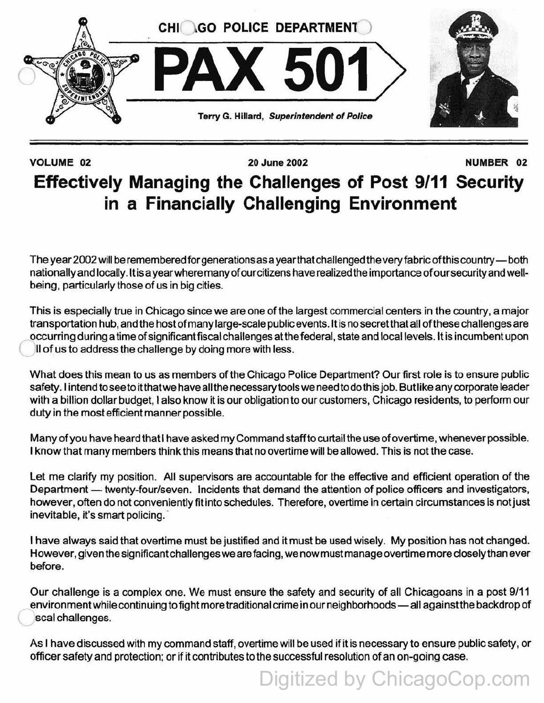

## VOLUME 02 20 June 2002 NUMBER 02 **Effectively Managing the Challenges of Post 9/11 Security in a Financially Challenging Environment**

The year 2002 will be remembered for generations as a year that challenged the very fabric of this country-both nationally and locally. It is a year where many of our citizens have realized the importance of our security and wellbeing, particularly those of us in big cities.

This is especially true in Chicago since we are one of the largest commercial centers in the country, a major transportation hub, and the host of many large-scale public events. It is no secret that all of these challenges are occurring during a time of significant fiscal challenges atthe federal, state and local levels. It is incumbent upon II of us to address the challenge by doing more with less.

What does this mean to us as members of the Chicago Police Department? Our first role is to ensure public safety. I intend to see to itthat we have all the necessary tools we need to do this job. But like any corporate leader with a billion dollar budget, I also know it is our obligation to our customers, Chicago residents, to perform our duty in the most efficient manner possible.

Many of you have heard that I have asked my Command staff to curtail the use of overtime, whenever possible. I know that many members think this means that no overtime will be allowed. This is not the case.

Let me clarify my position. All supervisors are accountable for the effective and efficient operation of the Department - twenty-four/seven. Incidents that demand the attention of police officers and investigators, however, often do not conveniently fit into schedules. Therefore, overtime in certain circumstances is not just inevitable, it's smart policing.

I have always said that overtime must be justified and it must be used wisely. My position has not changed. However, given the significant challenges we are facing, we now must manage overtime more closely than ever before.

Our challenge is a complex one. We must ensure the safety and security of all Chicagoans in a post 9/11 environment while continuing to fight more traditional crime in our neighborhoods - all against the backdrop of seal challenges.

As I have discussed with my command staff, overtime will be used if it is necessary to ensure public safety, or officer safety and protection; or if it contributes to the successful resolution of an on-going case.

Digitized by ChicagoCop.com